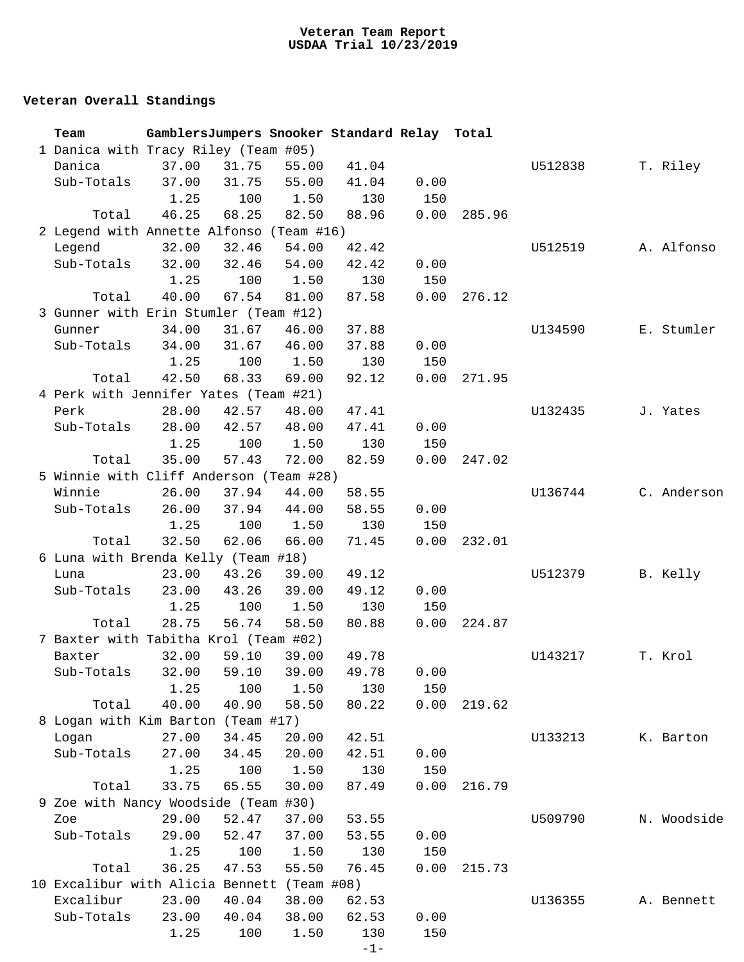## **Veteran Overall Standings**

|                                      | Team                                        |       |                         |       | GamblersJumpers Snooker Standard Relay Total |      |        |         |             |  |
|--------------------------------------|---------------------------------------------|-------|-------------------------|-------|----------------------------------------------|------|--------|---------|-------------|--|
| 1 Danica with Tracy Riley (Team #05) |                                             |       |                         |       |                                              |      |        |         |             |  |
|                                      | Danica                                      | 37.00 | 31.75                   | 55.00 | 41.04                                        |      |        | U512838 | T. Riley    |  |
|                                      | Sub-Totals                                  | 37.00 | 31.75                   | 55.00 | 41.04                                        | 0.00 |        |         |             |  |
|                                      |                                             | 1.25  | 100                     | 1.50  | 130                                          | 150  |        |         |             |  |
|                                      | Total                                       | 46.25 | 68.25                   | 82.50 | 88.96                                        | 0.00 | 285.96 |         |             |  |
|                                      | 2 Legend with Annette Alfonso (Team #16)    |       |                         |       |                                              |      |        |         |             |  |
|                                      | Legend                                      | 32.00 | 32.46                   | 54.00 | 42.42                                        |      |        | U512519 | A. Alfonso  |  |
|                                      | Sub-Totals                                  | 32.00 | 32.46                   | 54.00 | 42.42                                        | 0.00 |        |         |             |  |
|                                      |                                             | 1.25  | 100                     | 1.50  | 130                                          | 150  |        |         |             |  |
|                                      | Total                                       | 40.00 | 67.54                   | 81.00 | 87.58                                        | 0.00 | 276.12 |         |             |  |
|                                      | 3 Gunner with Erin Stumler (Team #12)       |       |                         |       |                                              |      |        |         |             |  |
|                                      | Gunner                                      | 34.00 | 31.67                   | 46.00 | 37.88                                        |      |        | U134590 | E. Stumler  |  |
|                                      | Sub-Totals                                  | 34.00 | 31.67                   | 46.00 | 37.88                                        | 0.00 |        |         |             |  |
|                                      |                                             | 1.25  | 100                     | 1.50  | 130                                          | 150  |        |         |             |  |
|                                      | Total                                       | 42.50 | 68.33                   | 69.00 | 92.12                                        | 0.00 | 271.95 |         |             |  |
|                                      | 4 Perk with Jennifer Yates (Team #21)       |       |                         |       |                                              |      |        |         |             |  |
|                                      | Perk                                        | 28.00 | 42.57                   | 48.00 | 47.41                                        |      |        | U132435 | J. Yates    |  |
|                                      | Sub-Totals                                  | 28.00 | 42.57                   | 48.00 | 47.41                                        | 0.00 |        |         |             |  |
|                                      |                                             | 1.25  | 100                     | 1.50  | 130                                          | 150  |        |         |             |  |
|                                      | Total                                       | 35.00 | 57.43                   | 72.00 | 82.59                                        | 0.00 | 247.02 |         |             |  |
|                                      | 5 Winnie with Cliff Anderson (Team #28)     |       |                         |       |                                              |      |        |         |             |  |
|                                      | Winnie                                      | 26.00 | 37.94                   | 44.00 | 58.55                                        |      |        | U136744 | C. Anderson |  |
|                                      | Sub-Totals                                  | 26.00 | 37.94                   | 44.00 | 58.55                                        | 0.00 |        |         |             |  |
|                                      |                                             | 1.25  | 100                     | 1.50  | 130                                          | 150  |        |         |             |  |
|                                      | Total                                       | 32.50 | 62.06                   | 66.00 | 71.45                                        | 0.00 | 232.01 |         |             |  |
|                                      | 6 Luna with Brenda Kelly (Team #18)         |       |                         |       |                                              |      |        |         |             |  |
|                                      | Luna                                        | 23.00 | 43.26                   | 39.00 | 49.12                                        |      |        | U512379 | B. Kelly    |  |
|                                      | Sub-Totals                                  | 23.00 | 43.26                   | 39.00 | 49.12                                        | 0.00 |        |         |             |  |
|                                      |                                             | 1.25  | 100                     | 1.50  | 130                                          | 150  |        |         |             |  |
|                                      | Total                                       | 28.75 | 56.74                   | 58.50 | 80.88                                        | 0.00 | 224.87 |         |             |  |
|                                      | 7 Baxter with Tabitha Krol (Team #02)       |       |                         |       |                                              |      |        |         |             |  |
|                                      | Baxter                                      | 32.00 | 59.10                   | 39.00 | 49.78                                        |      |        | U143217 | T. Krol     |  |
|                                      | Sub-Totals                                  |       | 32.00 59.10 39.00 49.78 |       |                                              | 0.00 |        |         |             |  |
|                                      |                                             | 1.25  | 100                     | 1.50  | 130                                          | 150  |        |         |             |  |
|                                      | Total                                       | 40.00 | 40.90                   | 58.50 | 80.22                                        | 0.00 | 219.62 |         |             |  |
|                                      | 8 Logan with Kim Barton (Team #17)          |       |                         |       |                                              |      |        |         |             |  |
|                                      | Logan                                       | 27.00 | 34.45                   | 20.00 | 42.51                                        |      |        | U133213 | K. Barton   |  |
|                                      | Sub-Totals                                  | 27.00 | 34.45                   | 20.00 | 42.51                                        | 0.00 |        |         |             |  |
|                                      |                                             | 1.25  | 100                     | 1.50  | 130                                          | 150  |        |         |             |  |
|                                      | Total                                       | 33.75 | 65.55                   | 30.00 | 87.49                                        | 0.00 | 216.79 |         |             |  |
|                                      | 9 Zoe with Nancy Woodside (Team #30)        |       |                         |       |                                              |      |        |         |             |  |
|                                      | Zoe                                         | 29.00 | 52.47                   | 37.00 | 53.55                                        |      |        | U509790 | N. Woodside |  |
|                                      | Sub-Totals                                  | 29.00 | 52.47                   | 37.00 | 53.55                                        | 0.00 |        |         |             |  |
|                                      |                                             | 1.25  | 100                     | 1.50  | 130                                          | 150  |        |         |             |  |
|                                      | Total                                       | 36.25 | 47.53                   | 55.50 | 76.45                                        | 0.00 | 215.73 |         |             |  |
|                                      | 10 Excalibur with Alicia Bennett (Team #08) |       |                         |       |                                              |      |        |         |             |  |
|                                      | Excalibur                                   | 23.00 | 40.04                   | 38.00 | 62.53                                        |      |        | U136355 | A. Bennett  |  |
|                                      | Sub-Totals                                  | 23.00 | 40.04                   | 38.00 | 62.53                                        | 0.00 |        |         |             |  |
|                                      |                                             | 1.25  | 100                     | 1.50  | 130                                          | 150  |        |         |             |  |
|                                      |                                             |       |                         |       | $-1-$                                        |      |        |         |             |  |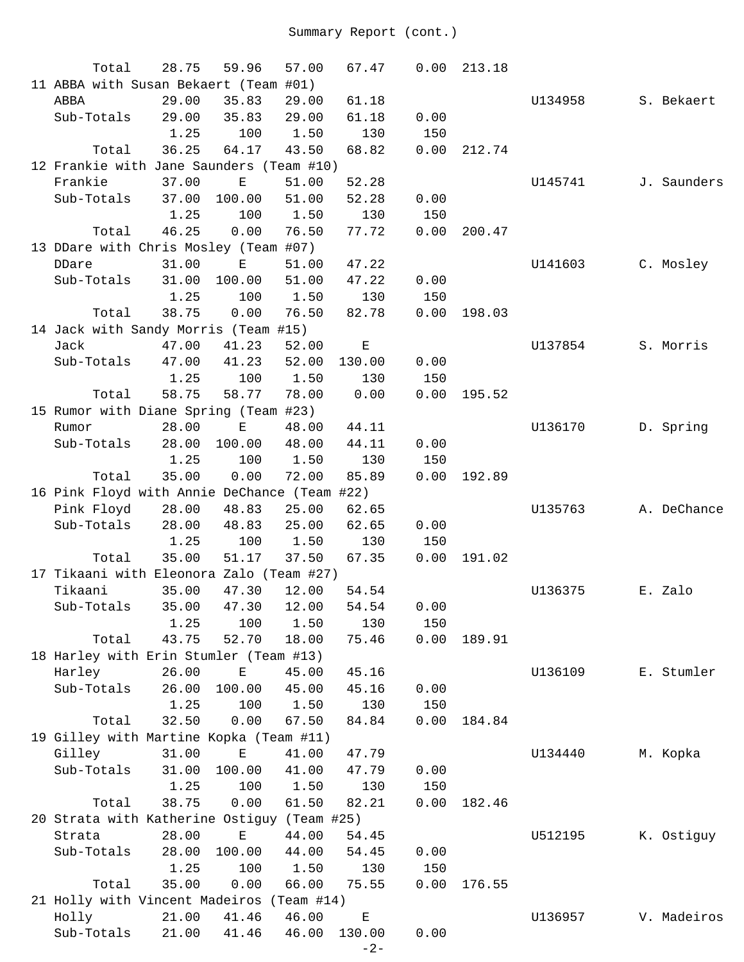| Total                                        | 28.75 | 59.96       | 57.00       | 67.47  | 0.00 | 213.18 |         |          |             |
|----------------------------------------------|-------|-------------|-------------|--------|------|--------|---------|----------|-------------|
| 11 ABBA with Susan Bekaert (Team #01)        |       |             |             |        |      |        |         |          |             |
| ABBA                                         | 29.00 | 35.83       | 29.00       | 61.18  |      |        | U134958 |          | S. Bekaert  |
| Sub-Totals                                   | 29.00 | 35.83       | 29.00       | 61.18  | 0.00 |        |         |          |             |
|                                              | 1.25  | 100         | 1.50        | 130    | 150  |        |         |          |             |
| Total                                        | 36.25 | 64.17       | 43.50       | 68.82  | 0.00 | 212.74 |         |          |             |
| 12 Frankie with Jane Saunders (Team #10)     |       |             |             |        |      |        |         |          |             |
| Frankie                                      | 37.00 | Е           | 51.00       | 52.28  |      |        | U145741 |          | J. Saunders |
| Sub-Totals                                   | 37.00 | 100.00      | 51.00       | 52.28  | 0.00 |        |         |          |             |
|                                              | 1.25  | 100         | 1.50        | 130    | 150  |        |         |          |             |
| Total                                        | 46.25 | 0.00        | 76.50       | 77.72  | 0.00 | 200.47 |         |          |             |
| 13 DDare with Chris Mosley (Team #07)        |       |             |             |        |      |        |         |          |             |
| DDare                                        | 31.00 | E           | 51.00       | 47.22  |      |        | U141603 |          | C. Mosley   |
| Sub-Totals                                   | 31.00 | 100.00      | 51.00       | 47.22  | 0.00 |        |         |          |             |
|                                              | 1.25  | 100         | 1.50        | 130    | 150  |        |         |          |             |
| Total                                        | 38.75 | 0.00        | 76.50       | 82.78  | 0.00 | 198.03 |         |          |             |
| 14 Jack with Sandy Morris (Team #15)         |       |             |             |        |      |        |         |          |             |
| Jack                                         | 47.00 | 41.23       | 52.00       | Е      |      |        | U137854 |          | S. Morris   |
| Sub-Totals                                   | 47.00 | 41.23       | 52.00       | 130.00 | 0.00 |        |         |          |             |
|                                              | 1.25  | 100         | 1.50        | 130    | 150  |        |         |          |             |
| Total                                        | 58.75 | 58.77       | 78.00       | 0.00   | 0.00 | 195.52 |         |          |             |
| 15 Rumor with Diane Spring (Team #23)        |       |             |             |        |      |        |         |          |             |
| Rumor                                        | 28.00 | $\mathbf E$ | 48.00       | 44.11  |      |        | U136170 |          | D. Spring   |
| Sub-Totals                                   | 28.00 | 100.00      | 48.00       | 44.11  | 0.00 |        |         |          |             |
|                                              | 1.25  | 100         | 1.50        | 130    | 150  |        |         |          |             |
| Total                                        | 35.00 | 0.00        | 72.00       | 85.89  | 0.00 | 192.89 |         |          |             |
| 16 Pink Floyd with Annie DeChance (Team #22) |       |             |             |        |      |        |         |          |             |
| Pink Floyd                                   | 28.00 | 48.83       | 25.00       | 62.65  |      |        | U135763 |          | A. DeChance |
| Sub-Totals                                   | 28.00 | 48.83       | 25.00       | 62.65  | 0.00 |        |         |          |             |
|                                              | 1.25  | 100         | 1.50        | 130    | 150  |        |         |          |             |
| Total                                        | 35.00 | 51.17       | 37.50       | 67.35  | 0.00 | 191.02 |         |          |             |
| 17 Tikaani with Eleonora Zalo (Team #27)     |       |             |             |        |      |        |         |          |             |
| Tikaani                                      | 35.00 | 47.30       | 12.00       | 54.54  |      |        | U136375 | E. Zalo  |             |
| Sub-Totals                                   | 35.00 |             | 47.30 12.00 | 54.54  | 0.00 |        |         |          |             |
|                                              | 1.25  | 100         | 1.50        | 130    | 150  |        |         |          |             |
| Total                                        | 43.75 | 52.70       | 18.00       | 75.46  | 0.00 | 189.91 |         |          |             |
| 18 Harley with Erin Stumler (Team #13)       |       |             |             |        |      |        |         |          |             |
| Harley                                       | 26.00 | Ε           | 45.00       | 45.16  |      |        | U136109 |          | E. Stumler  |
| Sub-Totals                                   | 26.00 | 100.00      | 45.00       | 45.16  | 0.00 |        |         |          |             |
|                                              | 1.25  | 100         | 1.50        | 130    | 150  |        |         |          |             |
| Total                                        | 32.50 | 0.00        | 67.50       | 84.84  | 0.00 | 184.84 |         |          |             |
| 19 Gilley with Martine Kopka (Team #11)      |       |             |             |        |      |        |         |          |             |
| Gilley                                       | 31.00 | $\mathbf E$ | 41.00       | 47.79  |      |        | U134440 | M. Kopka |             |
| Sub-Totals                                   | 31.00 | 100.00      | 41.00       | 47.79  | 0.00 |        |         |          |             |
|                                              | 1.25  | 100         | 1.50        | 130    | 150  |        |         |          |             |
| Total                                        | 38.75 | 0.00        | 61.50       | 82.21  | 0.00 | 182.46 |         |          |             |
| 20 Strata with Katherine Ostiguy (Team #25)  |       |             |             |        |      |        |         |          |             |
| Strata                                       | 28.00 | Е           | 44.00       | 54.45  |      |        | U512195 |          | K. Ostiguy  |
| Sub-Totals                                   | 28.00 | 100.00      | 44.00       | 54.45  | 0.00 |        |         |          |             |
|                                              | 1.25  | 100         | 1.50        | 130    | 150  |        |         |          |             |
| Total                                        | 35.00 | 0.00        | 66.00       | 75.55  | 0.00 | 176.55 |         |          |             |
| 21 Holly with Vincent Madeiros (Team #14)    |       |             |             |        |      |        |         |          |             |
| Holly                                        | 21.00 | 41.46       | 46.00       | Ε      |      |        | U136957 |          | V. Madeiros |
| Sub-Totals                                   | 21.00 | 41.46       | 46.00       | 130.00 | 0.00 |        |         |          |             |
|                                              |       |             |             | $-2-$  |      |        |         |          |             |
|                                              |       |             |             |        |      |        |         |          |             |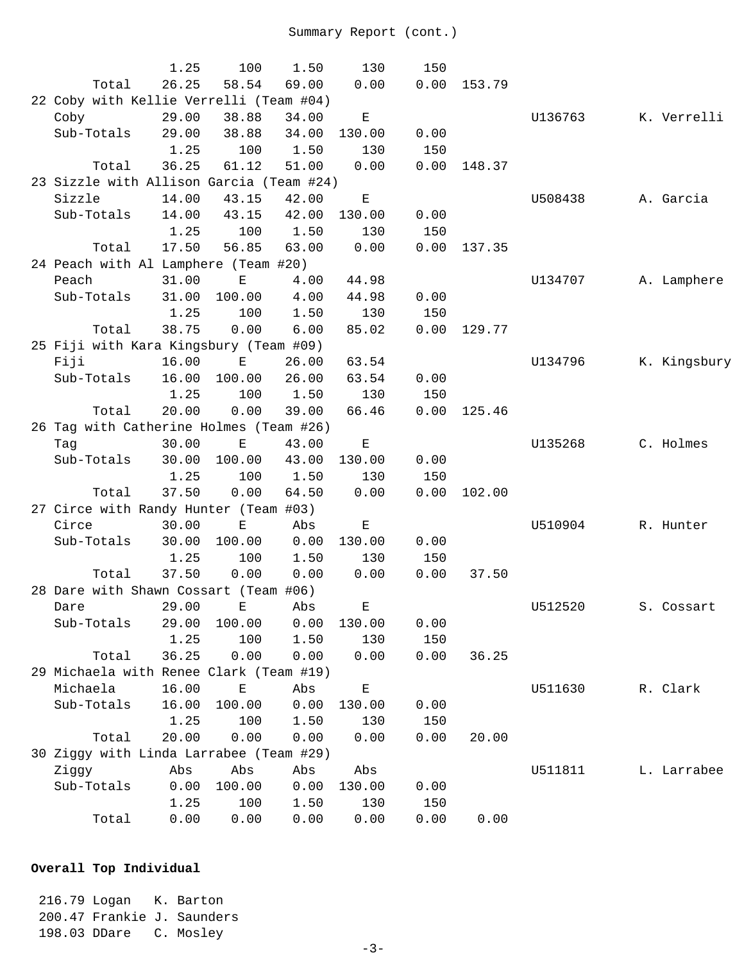|                                                  | 1.25          | 100                | 1.50  | 130         | 150         |        |         |              |
|--------------------------------------------------|---------------|--------------------|-------|-------------|-------------|--------|---------|--------------|
| Total                                            | 26.25         | 58.54              | 69.00 | 0.00        | 0.00        | 153.79 |         |              |
| 22 Coby with Kellie Verrelli (Team #04)          |               |                    |       |             |             |        |         |              |
| Coby                                             | 29.00         | 38.88              | 34.00 | $\mathbf E$ |             |        | U136763 | K. Verrelli  |
| Sub-Totals                                       | 29.00         | 38.88              | 34.00 | 130.00      | 0.00        |        |         |              |
|                                                  | 1.25          | 100                | 1.50  | 130         | 150         |        |         |              |
| Total                                            | 36.25         | 61.12              | 51.00 | 0.00        | 0.00        | 148.37 |         |              |
| 23 Sizzle with Allison Garcia (Team #24)         |               |                    |       |             |             |        |         |              |
| Sizzle                                           | 14.00         | 43.15              | 42.00 | $\mathbf E$ |             |        | U508438 | A. Garcia    |
| Sub-Totals                                       | 14.00         | 43.15              | 42.00 | 130.00      | 0.00        |        |         |              |
|                                                  | 1.25          | 100                | 1.50  | 130         | 150         |        |         |              |
| Total                                            | 17.50         | 56.85              | 63.00 | 0.00        | 0.00        | 137.35 |         |              |
| 24 Peach with Al Lamphere (Team #20)             |               |                    |       |             |             |        |         |              |
| Peach                                            | 31.00         | $\mathbf E$        | 4.00  | 44.98       |             |        | U134707 | A. Lamphere  |
| Sub-Totals                                       | 31.00         | 100.00             | 4.00  | 44.98       | 0.00        |        |         |              |
|                                                  | 1.25          | 100                | 1.50  | 130         | 150         |        |         |              |
| Total                                            | 38.75         | 0.00               | 6.00  | 85.02       | 0.00        | 129.77 |         |              |
| 25 Fiji with Kara Kingsbury (Team #09)           |               |                    |       |             |             |        |         |              |
| Fiji                                             | 16.00         | $\mathbf{E}$       | 26.00 | 63.54       |             |        | U134796 | K. Kingsbury |
| Sub-Totals                                       | 16.00         | 100.00             | 26.00 | 63.54       | 0.00        |        |         |              |
|                                                  | 1.25<br>20.00 | 100<br>0.00        | 1.50  | 130         | 150<br>0.00 |        |         |              |
| Total<br>26 Tag with Catherine Holmes (Team #26) |               |                    | 39.00 | 66.46       |             | 125.46 |         |              |
| Tag                                              | 30.00         | $\mathbf E$        | 43.00 | $\mathbf E$ |             |        | U135268 | C. Holmes    |
| Sub-Totals                                       | 30.00         | 100.00             | 43.00 | 130.00      | 0.00        |        |         |              |
|                                                  | 1.25          | 100                | 1.50  | 130         | 150         |        |         |              |
| Total                                            | 37.50         | 0.00               | 64.50 | 0.00        | 0.00        | 102.00 |         |              |
| 27 Circe with Randy Hunter (Team #03)            |               |                    |       |             |             |        |         |              |
| Circe                                            | 30.00         | $\mathbf E$        | Abs   | Ε           |             |        | U510904 | R. Hunter    |
| Sub-Totals                                       | 30.00         | 100.00             | 0.00  | 130.00      | 0.00        |        |         |              |
|                                                  | 1.25          | 100                | 1.50  | 130         | 150         |        |         |              |
| Total                                            | 37.50         | 0.00               | 0.00  | 0.00        | 0.00        | 37.50  |         |              |
| 28 Dare with Shawn Cossart (Team #06)            |               |                    |       |             |             |        |         |              |
| Dare                                             | 29.00         | Ε                  | Abs   | E           |             |        | U512520 | S. Cossart   |
| Sub-Totals                                       | 29.00         | 100.00             | 0.00  | 130.00      | 0.00        |        |         |              |
|                                                  | 1.25          | 100                | 1.50  | 130         | 150         |        |         |              |
| Total                                            | 36.25         | 0.00               | 0.00  | 0.00        | 0.00        | 36.25  |         |              |
| 29 Michaela with Renee Clark (Team #19)          |               |                    |       |             |             |        |         |              |
| Michaela                                         | 16.00         | $\mathbf{E}% _{0}$ | Abs   | Ε           |             |        | U511630 | R. Clark     |
| Sub-Totals                                       | 16.00         | 100.00             | 0.00  | 130.00      | 0.00        |        |         |              |
|                                                  | 1.25          | 100                | 1.50  | 130         | 150         |        |         |              |
| Total                                            | 20.00         | 0.00               | 0.00  | 0.00        | 0.00        | 20.00  |         |              |
| 30 Ziggy with Linda Larrabee (Team #29)          |               |                    |       |             |             |        |         |              |
| Ziggy                                            | Abs           | Abs                | Abs   | Abs         |             |        | U511811 | L. Larrabee  |
| Sub-Totals                                       | 0.00          | 100.00             | 0.00  | 130.00      | 0.00        |        |         |              |
|                                                  | 1.25          | 100                | 1.50  | 130         | 150         |        |         |              |
| Total                                            | 0.00          | 0.00               | 0.00  | 0.00        | 0.00        | 0.00   |         |              |

## **Overall Top Individual**

 216.79 Logan K. Barton 200.47 Frankie J. Saunders 198.03 DDare C. Mosley